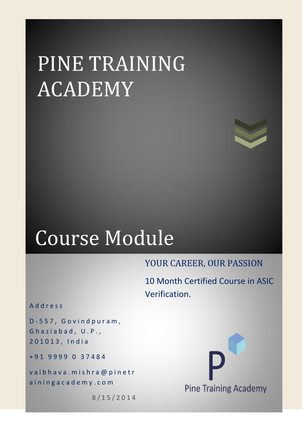# PINE TRAINING ACADEMY



## Course Module

### YOUR CAREER, OUR PASSION

10 Month Certified Course in ASIC Verification.

A d d r e s s

D - 5 5 7 , G o v i n d p u r a m , Ghaziabad, U.P., 2 0 1 0 1 3 , I n d i a

+ 9 1 9 9 9 9 0 3 7 4 8 4

vaibhava.mishra@pinetr a in ingacademy.com

8 / 1 5 / 2 0 1 4

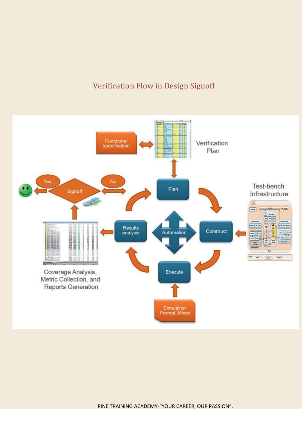### Verification Flow in Design Signoff

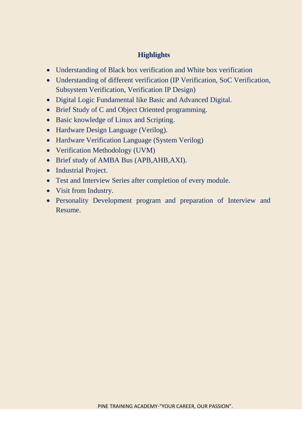#### **Highlights**

- Understanding of Black box verification and White box verification
- Understanding of different verification (IP Verification, SoC Verification, Subsystem Verification, Verification IP Design)
- Digital Logic Fundamental like Basic and Advanced Digital.
- Brief Study of C and Object Oriented programming.
- Basic knowledge of Linux and Scripting.
- Hardware Design Language (Verilog).
- Hardware Verification Language (System Verilog)
- Verification Methodology (UVM)
- Brief study of AMBA Bus (APB,AHB,AXI).
- Industrial Project.
- Test and Interview Series after completion of every module.
- Visit from Industry.
- Personality Development program and preparation of Interview and Resume.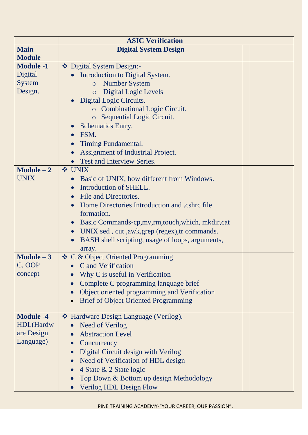|                  | <b>ASIC Verification</b>                                    |  |  |
|------------------|-------------------------------------------------------------|--|--|
| <b>Main</b>      | <b>Digital System Design</b>                                |  |  |
| <b>Module</b>    |                                                             |  |  |
| <b>Module -1</b> | ❖ Digital System Design:-                                   |  |  |
| Digital          | Introduction to Digital System.                             |  |  |
| <b>System</b>    | <b>Number System</b><br>$\circ$                             |  |  |
| Design.          | <b>Digital Logic Levels</b><br>$\circ$                      |  |  |
|                  | Digital Logic Circuits.                                     |  |  |
|                  | <b>c</b> Combinational Logic Circuit.                       |  |  |
|                  | Sequential Logic Circuit.<br>$\circ$                        |  |  |
|                  | <b>Schematics Entry.</b>                                    |  |  |
|                  | FSM.                                                        |  |  |
|                  | Timing Fundamental.                                         |  |  |
|                  | Assignment of Industrial Project.                           |  |  |
|                  | Test and Interview Series.                                  |  |  |
| $Module - 2$     | <b>❖ UNIX</b>                                               |  |  |
| UNIX             | Basic of UNIX, how different from Windows.                  |  |  |
|                  | Introduction of SHELL.                                      |  |  |
|                  | File and Directories.                                       |  |  |
|                  | Home Directories Introduction and .cshrc file               |  |  |
|                  | formation.                                                  |  |  |
|                  | Basic Commands-cp, mv, rm, touch, which, mkdir, cat         |  |  |
|                  | UNIX sed, cut, awk, grep (regex), tr commands.<br>$\bullet$ |  |  |
|                  | BASH shell scripting, usage of loops, arguments,            |  |  |
|                  | array.                                                      |  |  |
| $Module - 3$     | ❖ C & Object Oriented Programming                           |  |  |
| C, OOP           | C and Verification                                          |  |  |
| concept          | Why C is useful in Verification                             |  |  |
|                  | Complete C programming language brief                       |  |  |
|                  | Object oriented programming and Verification                |  |  |
|                  | <b>Brief of Object Oriented Programming</b><br>$\bullet$    |  |  |
|                  |                                                             |  |  |
| <b>Module -4</b> | ❖ Hardware Design Language (Verilog).                       |  |  |
| HDL(Hardw        | <b>Need of Verilog</b>                                      |  |  |
| are Design       | <b>Abstraction Level</b>                                    |  |  |
| Language)        | Concurrency                                                 |  |  |
|                  | Digital Circuit design with Verilog                         |  |  |
|                  | Need of Verification of HDL design                          |  |  |
|                  | 4 State & 2 State logic                                     |  |  |
|                  | Top Down & Bottom up design Methodology                     |  |  |
|                  | <b>Verilog HDL Design Flow</b><br>$\bullet$                 |  |  |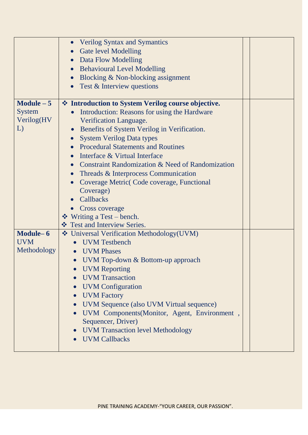|                                                  | <b>Verilog Syntax and Symantics</b><br><b>Gate level Modelling</b><br>Data Flow Modelling<br><b>Behavioural Level Modelling</b><br>Blocking & Non-blocking assignment<br>Test & Interview questions                                                                                                                                                                                                                                                                                                                                                         |  |
|--------------------------------------------------|-------------------------------------------------------------------------------------------------------------------------------------------------------------------------------------------------------------------------------------------------------------------------------------------------------------------------------------------------------------------------------------------------------------------------------------------------------------------------------------------------------------------------------------------------------------|--|
|                                                  |                                                                                                                                                                                                                                                                                                                                                                                                                                                                                                                                                             |  |
| Module $-5$<br><b>System</b><br>Verilog(HV<br>L) | ❖ Introduction to System Verilog course objective.<br>Introduction: Reasons for using the Hardware<br>Verification Language.<br>Benefits of System Verilog in Verification.<br><b>System Verilog Data types</b><br><b>Procedural Statements and Routines</b><br>Interface & Virtual Interface<br>Constraint Randomization & Need of Randomization<br>Threads & Interprocess Communication<br>Coverage Metric Code coverage, Functional<br>Coverage)<br>Callbacks<br><b>Cross coverage</b><br>$\div$ Writing a Test – bench.<br>❖ Test and Interview Series. |  |
| Module-6<br><b>UVM</b><br>Methodology            | Universal Verification Methodology(UVM)<br><b>UVM</b> Testbench<br><b>UVM</b> Phases<br>$\bullet$<br>UVM Top-down & Bottom-up approach<br><b>UVM Reporting</b><br><b>UVM</b> Transaction<br><b>UVM</b> Configuration<br><b>UVM</b> Factory<br>$\bullet$<br>UVM Sequence (also UVM Virtual sequence)<br>UVM Components(Monitor, Agent, Environment,<br>Sequencer, Driver)<br><b>UVM Transaction level Methodology</b><br><b>UVM Callbacks</b>                                                                                                                |  |